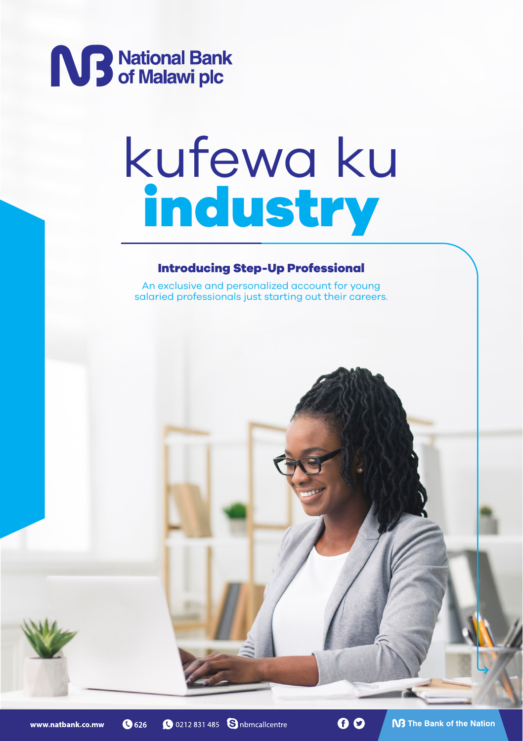

# kufewa ku industry

#### Introducing Step-Up Professional

An exclusive and personalized account for young salaried professionals just starting out their careers.

**@** 626

**Q** 0212 831 485 **S** nbmcallcentre

00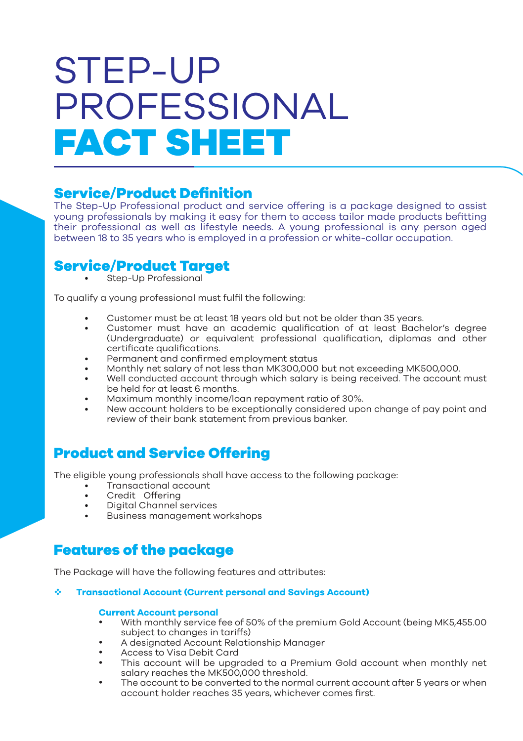## STEP-UP PROFESSIONAL FACT SHEET

### Service/Product Definition

The Step-Up Professional product and service offering is a package designed to assist young professionals by making it easy for them to access tailor made products befitting their professional as well as lifestyle needs. A young professional is any person aged between 18 to 35 years who is employed in a profession or white-collar occupation.

### Service/Product Target

Step-Up Professional

To qualify a young professional must fulfil the following:

- Customer must be at least 18 years old but not be older than 35 years.
- Customer must have an academic qualification of at least Bachelor's degree (Undergraduate) or equivalent professional qualification, diplomas and other certificate qualifications.
- Permanent and confirmed employment status
- Monthly net salary of not less than MK300,000 but not exceeding MK500,000.
- Well conducted account through which salary is being received. The account must be held for at least 6 months.
- Maximum monthly income/loan repayment ratio of 30%.
- New account holders to be exceptionally considered upon change of pay point and review of their bank statement from previous banker.

## Product and Service Offering

The eligible young professionals shall have access to the following package:

- Transactional account
- Credit Offering
- Digital Channel services
- Business management workshops

## Features of the package

The Package will have the following features and attributes:

#### **Transactional Account (Current personal and Savings Account)**

#### **Current Account personal**

- With monthly service fee of 50% of the premium Gold Account (being MK5,455.00) subject to changes in tariffs)
- A designated Account Relationship Manager
- Access to Visa Debit Card<br>• This account will be upon
- This account will be upgraded to a Premium Gold account when monthly net salary reaches the MK500,000 threshold.
- The account to be converted to the normal current account after 5 years or when account holder reaches 35 years, whichever comes first.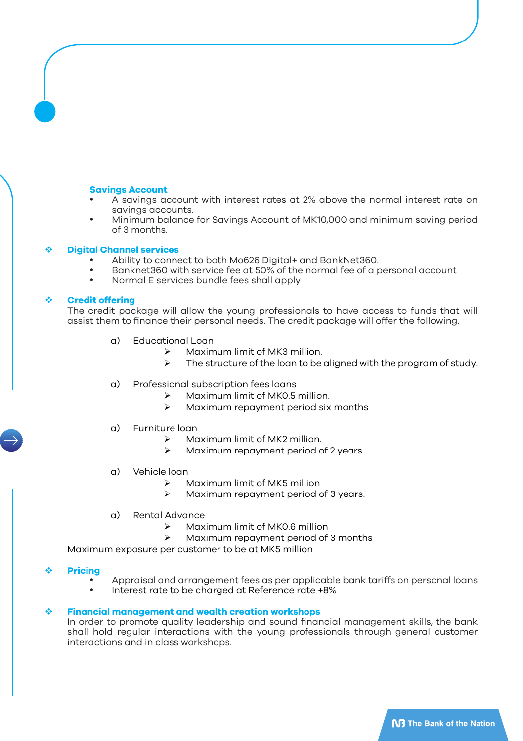#### **Savings Account**

- A savings account with interest rates at 2% above the normal interest rate on savings accounts.
- Minimum balance for Savings Account of MK10,000 and minimum saving period of 3 months.

#### **Digital Channel services**

- Ability to connect to both Mo626 Digital+ and BankNet360.
- Banknet360 with service fee at 50% of the normal fee of a personal account
- Normal E services bundle fees shall apply

#### **Credit offering**

The credit package will allow the young professionals to have access to funds that will assist them to finance their personal needs. The credit package will offer the following.

- a) Educational Loan
	- $\triangleright$  Maximum limit of MK3 million.
	- The structure of the loan to be aligned with the program of study.
- a) Professional subscription fees loans
	- Maximum limit of MK0.5 million.
	- $\triangleright$  Maximum repayment period six months
- a) Furniture loan
	- Maximum limit of MK2 million.
	- $\triangleright$  Maximum repayment period of 2 years.
- a) Vehicle loan
	- Maximum limit of MK5 million
	- $\triangleright$  Maximum repayment period of 3 years.
- a) Rental Advance
	- $\triangleright$  Maximum limit of MK0.6 million
	- $\triangleright$  Maximum repayment period of 3 months

Maximum exposure per customer to be at MK5 million

- **Pricing**
	- Appraisal and arrangement fees as per applicable bank tariffs on personal loans
	- Interest rate to be charged at Reference rate +8%

#### **Financial management and wealth creation workshops**

In order to promote quality leadership and sound financial management skills, the bank shall hold regular interactions with the young professionals through general customer interactions and in class workshops.